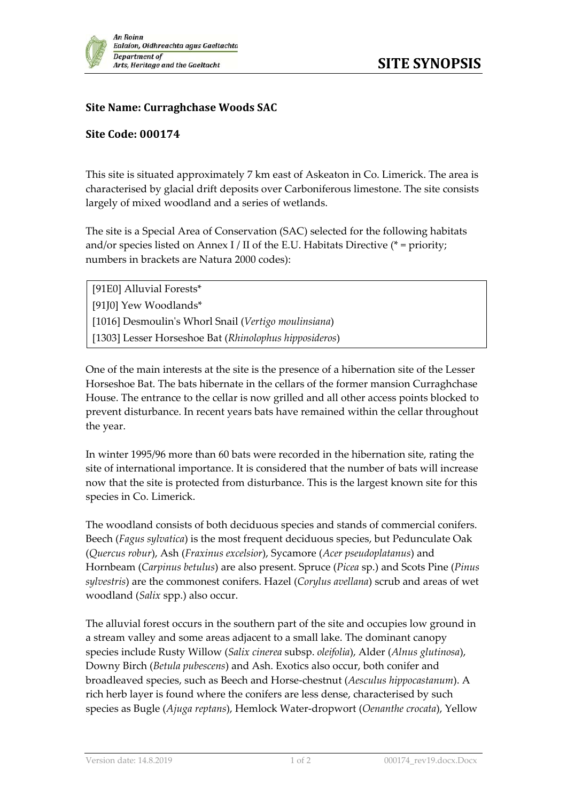

## **Site Name: Curraghchase Woods SAC**

## **Site Code: 000174**

This site is situated approximately 7 km east of Askeaton in Co. Limerick. The area is characterised by glacial drift deposits over Carboniferous limestone. The site consists largely of mixed woodland and a series of wetlands.

The site is a Special Area of Conservation (SAC) selected for the following habitats and/or species listed on Annex I / II of the E.U. Habitats Directive ( $*$  = priority; numbers in brackets are Natura 2000 codes):

[91E0] Alluvial Forests\* [91J0] Yew Woodlands\* [1016] Desmoulinʹs Whorl Snail (*Vertigo moulinsiana*) [1303] Lesser Horseshoe Bat (*Rhinolophus hipposideros*)

One of the main interests at the site is the presence of a hibernation site of the Lesser Horseshoe Bat. The bats hibernate in the cellars of the former mansion Curraghchase House. The entrance to the cellar is now grilled and all other access points blocked to prevent disturbance. In recent years bats have remained within the cellar throughout the year.

In winter 1995/96 more than 60 bats were recorded in the hibernation site, rating the site of international importance. It is considered that the number of bats will increase now that the site is protected from disturbance. This is the largest known site for this species in Co. Limerick.

The woodland consists of both deciduous species and stands of commercial conifers. Beech (*Fagus sylvatica*) is the most frequent deciduous species, but Pedunculate Oak (*Quercus robur*), Ash (*Fraxinus excelsior*), Sycamore (*Acer pseudoplatanus*) and Hornbeam (*Carpinus betulus*) are also present. Spruce (*Picea* sp.) and Scots Pine (*Pinus sylvestris*) are the commonest conifers. Hazel (*Corylus avellana*) scrub and areas of wet woodland (*Salix* spp.) also occur.

The alluvial forest occurs in the southern part of the site and occupies low ground in a stream valley and some areas adjacent to a small lake. The dominant canopy species include Rusty Willow (*Salix cinerea* subsp. *oleifolia*), Alder (*Alnus glutinosa*), Downy Birch (*Betula pubescens*) and Ash. Exotics also occur, both conifer and broadleaved species, such as Beech and Horse‐chestnut (*Aesculus hippocastanum*). A rich herb layer is found where the conifers are less dense, characterised by such species as Bugle (*Ajuga reptans*), Hemlock Water‐dropwort (*Oenanthe crocata*), Yellow